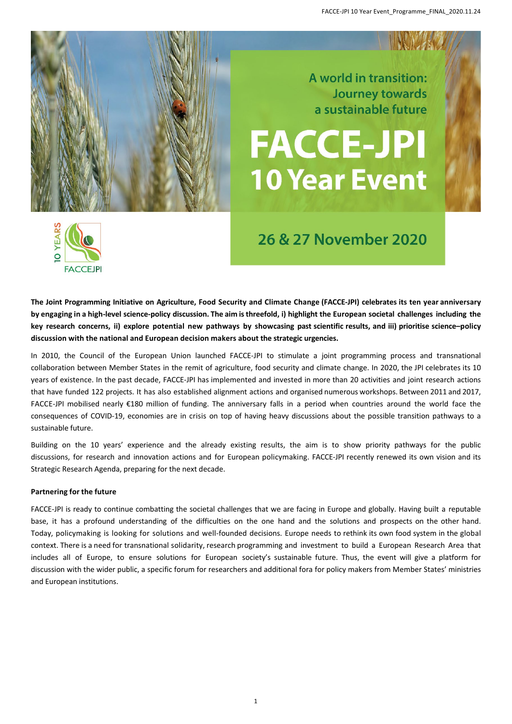

A world in transition: **Journey towards** a sustainable future

# **FACCE-JPI 10 Year Event**



# 26 & 27 November 2020

**The Joint Programming Initiative on Agriculture, Food Security and Climate Change (FACCE-JPI) celebrates its ten year anniversary by engaging in a high-level science-policy discussion. The aim is threefold, i) highlight the European societal challenges including the key research concerns, ii) explore potential new pathways by showcasing past scientific results, and iii) prioritise science–policy discussion with the national and European decision makers about the strategic urgencies.** 

In 2010, the Council of the European Union launched FACCE-JPI to stimulate a joint programming process and transnational collaboration between Member States in the remit of agriculture, food security and climate change. In 2020, the JPI celebrates its 10 years of existence. In the past decade, FACCE-JPI has implemented and invested in more than 20 activities and joint research actions that have funded 122 projects. It has also established alignment actions and organised numerous workshops. Between 2011 and 2017, FACCE-JPI mobilised nearly €180 million of funding. The anniversary falls in a period when countries around the world face the consequences of COVID-19, economies are in crisis on top of having heavy discussions about the possible transition pathways to a sustainable future.

Building on the 10 years' experience and the already existing results, the aim is to show priority pathways for the public discussions, for research and innovation actions and for European policymaking. FACCE-JPI recently renewed its own vision and its Strategic Research Agenda, preparing for the next decade.

#### **Partnering for the future**

FACCE-JPI is ready to continue combatting the societal challenges that we are facing in Europe and globally. Having built a reputable base, it has a profound understanding of the difficulties on the one hand and the solutions and prospects on the other hand. Today, policymaking is looking for solutions and well-founded decisions. Europe needs to rethink its own food system in the global context. There is a need for transnational solidarity, research programming and investment to build a European Research Area that includes all of Europe, to ensure solutions for European society's sustainable future. Thus, the event will give a platform for discussion with the wider public, a specific forum for researchers and additional fora for policy makers from Member States' ministries and European institutions.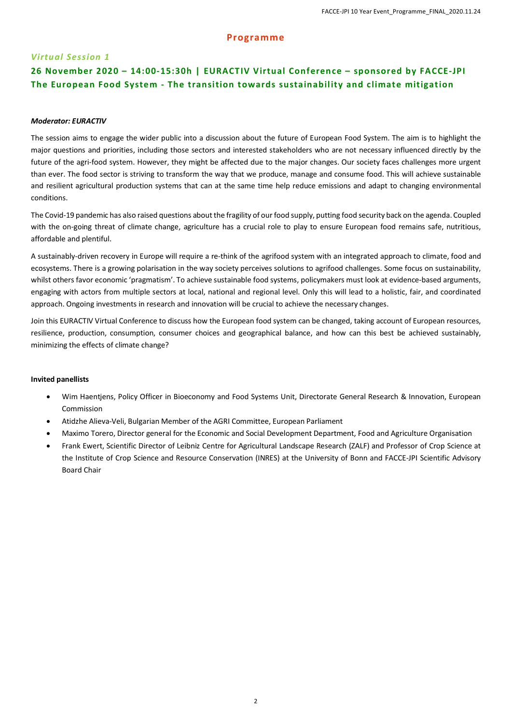#### **Programme**

#### *Virtual Session 1*

### **26 November 2020 – 14:00-15:30h | EURACTIV Virtual Conference – sponsored by FACCE-JPI The European Food System - The transition towards sustainability and climate mitigation**

#### *Moderator: EURACTIV*

The session aims to engage the wider public into a discussion about the future of European Food System. The aim is to highlight the major questions and priorities, including those sectors and interested stakeholders who are not necessary influenced directly by the future of the agri-food system. However, they might be affected due to the major changes. Our society faces challenges more urgent than ever. The food sector is striving to transform the way that we produce, manage and consume food. This will achieve sustainable and resilient agricultural production systems that can at the same time help reduce emissions and adapt to changing environmental conditions.

The Covid-19 pandemic has also raised questions about the fragility of our food supply, putting food security back on the agenda. Coupled with the on-going threat of climate change, agriculture has a crucial role to play to ensure European food remains safe, nutritious, affordable and plentiful.

A sustainably-driven recovery in Europe will require a re-think of the agrifood system with an integrated approach to climate, food and ecosystems. There is a growing polarisation in the way society perceives solutions to agrifood challenges. Some focus on sustainability, whilst others favor economic 'pragmatism'. To achieve sustainable food systems, policymakers must look at evidence-based arguments, engaging with actors from multiple sectors at local, national and regional level. Only this will lead to a holistic, fair, and coordinated approach. Ongoing investments in research and innovation will be crucial to achieve the necessary changes.

Join this EURACTIV Virtual Conference to discuss how the European food system can be changed, taking account of European resources, resilience, production, consumption, consumer choices and geographical balance, and how can this best be achieved sustainably, minimizing the effects of climate change?

#### **Invited panellists**

- Wim Haentjens, Policy Officer in Bioeconomy and Food Systems Unit, Directorate General Research & Innovation, European Commission
- Atidzhe Alieva-Veli, Bulgarian Member of the AGRI Committee, European Parliament
- Maximo Torero, Director general for the Economic and Social Development Department, Food and Agriculture Organisation
- Frank Ewert, Scientific Director of Leibniz Centre for Agricultural Landscape Research (ZALF) and Professor of Crop Science at the Institute of Crop Science and Resource Conservation (INRES) at the University of Bonn and FACCE-JPI Scientific Advisory Board Chair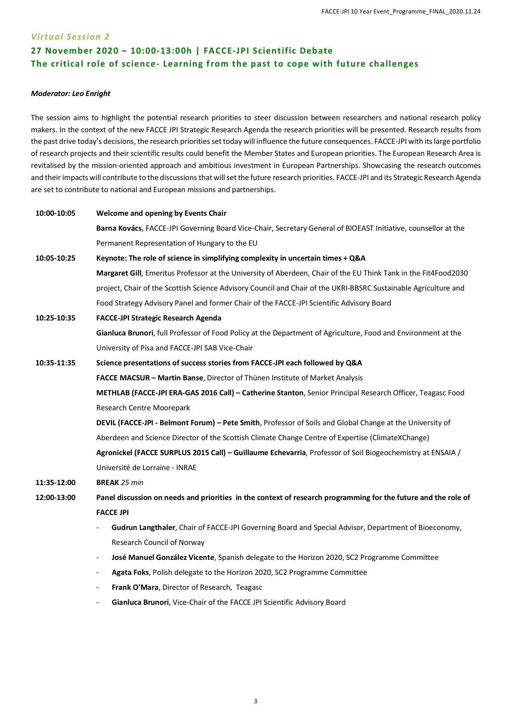## *Virtual Session 2* **27 November 2020 – 10:00-13:00h | FACCE-JPI Scientific Debate The critical role of science- Learning from the past to cope with future challenges**

#### *Moderator: Leo Enright*

The session aims to highlight the potential research priorities to steer discussion between researchers and national research policy makers. In the context of the new FACCE JPI Strategic Research Agenda the research priorities will be presented. Research results from the past drive today's decisions, the research priorities set today will influence the future consequences. FACCE-JPI with its large portfolio of research projects and their scientific results could benefit the Member States and European priorities. The European Research Area is revitalised by the mission-oriented approach and ambitious investment in European Partnerships. Showcasing the research outcomes and their impacts will contribute to the discussions that will set the future research priorities. FACCE-JPI and its Strategic Research Agenda are set to contribute to national and European missions and partnerships.

| 10:00-10:05 | <b>Welcome and opening by Events Chair</b>                                                                              |
|-------------|-------------------------------------------------------------------------------------------------------------------------|
|             | Barna Kovács, FACCE-JPI Governing Board Vice-Chair, Secretary General of BIOEAST Initiative, counsellor at the          |
|             | Permanent Representation of Hungary to the EU                                                                           |
| 10:05-10:25 | Keynote: The role of science in simplifying complexity in uncertain times + Q&A                                         |
|             | Margaret Gill, Emeritus Professor at the University of Aberdeen, Chair of the EU Think Tank in the Fit4Food2030         |
|             | project, Chair of the Scottish Science Advisory Council and Chair of the UKRI-BBSRC Sustainable Agriculture and         |
|             | Food Strategy Advisory Panel and former Chair of the FACCE-JPI Scientific Advisory Board                                |
| 10:25-10:35 | FACCE-JPI Strategic Research Agenda                                                                                     |
|             | Gianluca Brunori, full Professor of Food Policy at the Department of Agriculture, Food and Environment at the           |
|             | University of Pisa and FACCE-JPI SAB Vice-Chair                                                                         |
| 10:35-11:35 | Science presentations of success stories from FACCE-JPI each followed by Q&A                                            |
|             | FACCE MACSUR - Martin Banse, Director of Thünen Institute of Market Analysis                                            |
|             | METHLAB (FACCE-JPI ERA-GAS 2016 Call) - Catherine Stanton, Senior Principal Research Officer, Teagasc Food              |
|             | Research Centre Moorepark                                                                                               |
|             | <b>DEVIL (FACCE-JPI - Belmont Forum) – Pete Smith, Professor of Soils and Global Change at the University of</b>        |
|             | Aberdeen and Science Director of the Scottish Climate Change Centre of Expertise (ClimateXChange)                       |
|             | Agronickel (FACCE SURPLUS 2015 Call) - Guillaume Echevarria, Professor of Soil Biogeochemistry at ENSAIA /              |
|             | Université de Lorraine - INRAE                                                                                          |
| 11:35-12:00 | <b>BREAK 25 min</b>                                                                                                     |
| 12:00-13:00 | Panel discussion on needs and priorities in the context of research programming for the future and the role of          |
|             | <b>FACCE JPI</b>                                                                                                        |
|             | Gudrun Langthaler, Chair of FACCE-JPI Governing Board and Special Advisor, Department of Bioeconomy,                    |
|             | Research Council of Norway                                                                                              |
|             | José Manuel González Vicente, Spanish delegate to the Horizon 2020, SC2 Programme Committee<br>$\overline{\phantom{a}}$ |
|             | Agata Foks, Polish delegate to the Horizon 2020, SC2 Programme Committee                                                |
|             | Frank O'Mara, Director of Research, Teagasc                                                                             |

Gianluca Brunori, Vice-Chair of the FACCE JPI Scientific Advisory Board